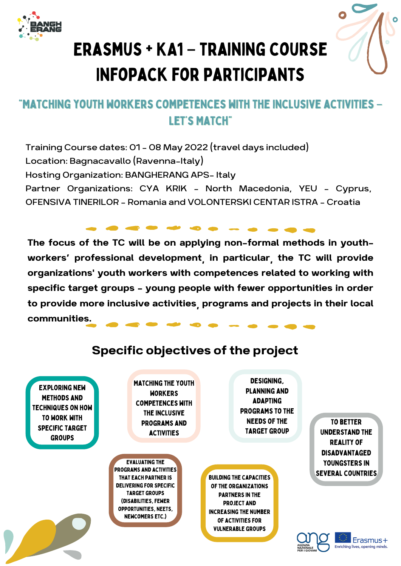

# Erasmus + KA1 – training course Infopack for participants

# "Matching youth workers competences with the inclusive activities – Let's Match"

Training Course dates: 01 – 08 May 2022 (travel days included) Location: Bagnacavallo (Ravenna-Italy) Hosting Organization: BANGHERANG APS- Italy Partner Organizations: CYA KRIK - North Macedonia, YEU – Cyprus, OFENSIVA TINERILOR – Romania and VOLONTERSKI CENTAR ISTRA – Croatia

The focus of the TC will be on applying non-formal methods in youthworkers' professional development, in particular, the TC will provide organizations' youth workers with competences related to working with specific target groups - young people with fewer opportunities in order to provide more inclusive activities, programs and projects in their local communities.

#### Designing, Matching the youth Exploring new planning and workers methods and adapting competences with techniques on how programs to the the inclusive to work with needs of the To better programs and specific target target group understand the **ACTIVITIES GROUPS** reality of disadvantaged Evaluating the youngsters in programs and activities several countriesthat each partner is Building the capacities delivering for specific of the organizations target groups partners in the (disabilities, fewer project and opportunities, NEETs, increasing the number newcomers etc.) of activities for vulnerable groups Erasmus+

Enriching lives, opening minds.

# Specific objectives of the project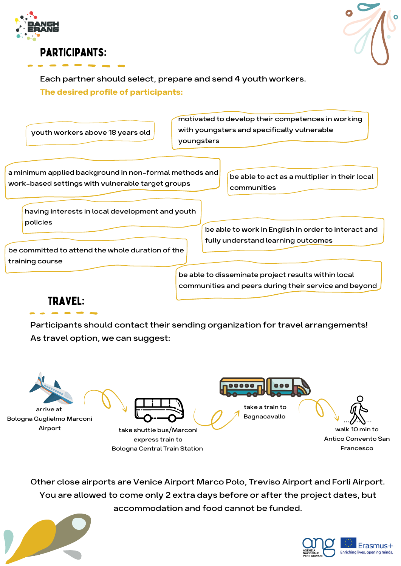

participants:



Each partner should select, prepare and send 4 youth workers. The desired profile of participants:

| youth workers above 18 years old                                    | motivated to develop their competences in working<br>with youngsters and specifically vulnerable<br>youngsters |
|---------------------------------------------------------------------|----------------------------------------------------------------------------------------------------------------|
| a minimum applied background in non-formal methods and              | be able to act as a multiplier in their local                                                                  |
| work-based settings with vulnerable target groups                   | communities                                                                                                    |
| having interests in local development and youth                     | be able to work in English in order to interact and                                                            |
| policies                                                            | fully understand learning outcomes                                                                             |
| be committed to attend the whole duration of the<br>training course | be able to disseminate project results within local                                                            |

# Travel:

Participants should contact their sending organization for travel arrangements! As travel option, we can suggest:

communities and peers during their service and beyond



Other close airports are Venice Airport Marco Polo, Treviso Airport and Forli Airport. You are allowed to come only 2 extra days before or after the project dates, but accommodation and food cannot be funded.